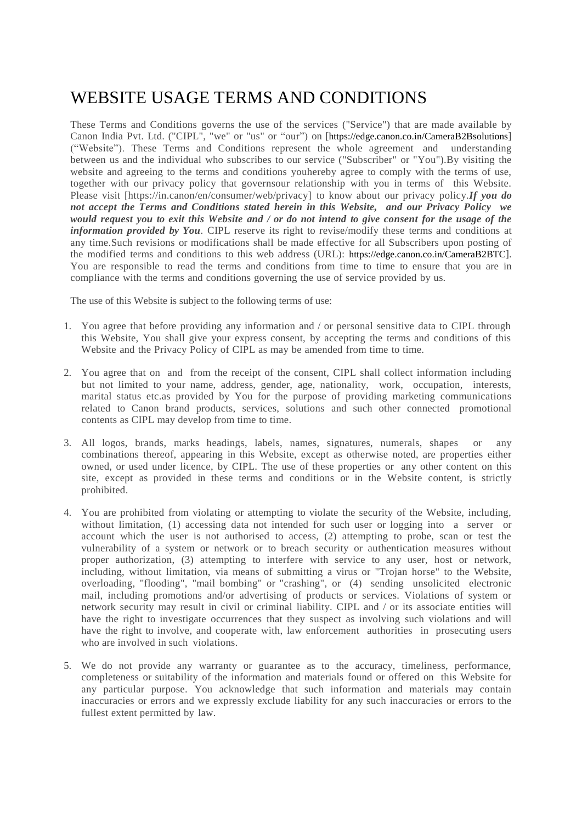## WEBSITE USAGE TERMS AND CONDITIONS

These Terms and Conditions governs the use of the services ("Service") that are made available by Canon India Pvt. Ltd. ("CIPL", "we" or "us" or "our") on [https://edge.canon.co.in/CameraB2Bsolutions] ("Website"). These Terms and Conditions represent the whole agreement and understanding between us and the individual who subscribes to our service ("Subscriber" or "You").By visiting the website and agreeing to the terms and conditions youhereby agree to comply with the terms of use, together with our privacy policy that governsour relationship with you in terms of this Website. Please visit [https://in.canon/en/consumer/web/privacy] to know about our privacy policy.*If you do not accept the Terms and Conditions stated herein in this Website, and our Privacy Policy we would request you to exit this Website and / or do not intend to give consent for the usage of the information provided by You*. CIPL reserve its right to revise/modify these terms and conditions at any time.Such revisions or modifications shall be made effective for all Subscribers upon posting of the modified terms and conditions to this web address (URL): https://edge.canon.co.in/CameraB2BTC]. You are responsible to read the terms and conditions from time to time to ensure that you are in compliance with the terms and conditions governing the use of service provided by us.

The use of this Website is subject to the following terms of use:

- 1. You agree that before providing any information and / or personal sensitive data to CIPL through this Website, You shall give your express consent, by accepting the terms and conditions of this Website and the Privacy Policy of CIPL as may be amended from time to time.
- 2. You agree that on and from the receipt of the consent, CIPL shall collect information including but not limited to your name, address, gender, age, nationality, work, occupation, interests, marital status etc.as provided by You for the purpose of providing marketing communications related to Canon brand products, services, solutions and such other connected promotional contents as CIPL may develop from time to time.
- 3. All logos, brands, marks headings, labels, names, signatures, numerals, shapes or any combinations thereof, appearing in this Website, except as otherwise noted, are properties either owned, or used under licence, by CIPL. The use of these properties or any other content on this site, except as provided in these terms and conditions or in the Website content, is strictly prohibited.
- 4. You are prohibited from violating or attempting to violate the security of the Website, including, without limitation, (1) accessing data not intended for such user or logging into a server or account which the user is not authorised to access, (2) attempting to probe, scan or test the vulnerability of a system or network or to breach security or authentication measures without proper authorization, (3) attempting to interfere with service to any user, host or network, including, without limitation, via means of submitting a virus or "Trojan horse" to the Website, overloading, "flooding", "mail bombing" or "crashing", or (4) sending unsolicited electronic mail, including promotions and/or advertising of products or services. Violations of system or network security may result in civil or criminal liability. CIPL and / or its associate entities will have the right to investigate occurrences that they suspect as involving such violations and will have the right to involve, and cooperate with, law enforcement authorities in prosecuting users who are involved in such violations.
- 5. We do not provide any warranty or guarantee as to the accuracy, timeliness, performance, completeness or suitability of the information and materials found or offered on this Website for any particular purpose. You acknowledge that such information and materials may contain inaccuracies or errors and we expressly exclude liability for any such inaccuracies or errors to the fullest extent permitted by law.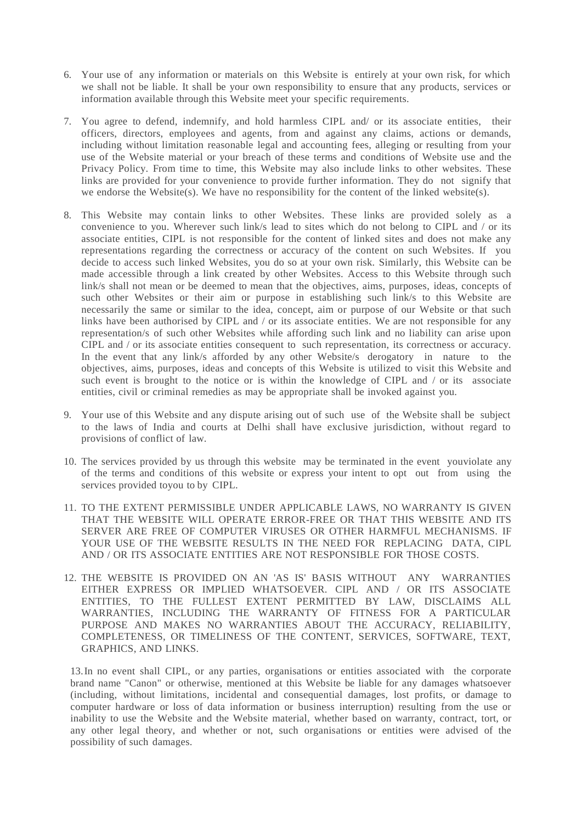- 6. Your use of any information or materials on this Website is entirely at your own risk, for which we shall not be liable. It shall be your own responsibility to ensure that any products, services or information available through this Website meet your specific requirements.
- 7. You agree to defend, indemnify, and hold harmless CIPL and/ or its associate entities, their officers, directors, employees and agents, from and against any claims, actions or demands, including without limitation reasonable legal and accounting fees, alleging or resulting from your use of the Website material or your breach of these terms and conditions of Website use and the Privacy Policy. From time to time, this Website may also include links to other websites. These links are provided for your convenience to provide further information. They do not signify that we endorse the Website(s). We have no responsibility for the content of the linked website(s).
- 8. This Website may contain links to other Websites. These links are provided solely as a convenience to you. Wherever such link/s lead to sites which do not belong to CIPL and / or its associate entities, CIPL is not responsible for the content of linked sites and does not make any representations regarding the correctness or accuracy of the content on such Websites. If you decide to access such linked Websites, you do so at your own risk. Similarly, this Website can be made accessible through a link created by other Websites. Access to this Website through such link/s shall not mean or be deemed to mean that the objectives, aims, purposes, ideas, concepts of such other Websites or their aim or purpose in establishing such link/s to this Website are necessarily the same or similar to the idea, concept, aim or purpose of our Website or that such links have been authorised by CIPL and / or its associate entities. We are not responsible for any representation/s of such other Websites while affording such link and no liability can arise upon CIPL and / or its associate entities consequent to such representation, its correctness or accuracy. In the event that any link/s afforded by any other Website/s derogatory in nature to the objectives, aims, purposes, ideas and concepts of this Website is utilized to visit this Website and such event is brought to the notice or is within the knowledge of CIPL and / or its associate entities, civil or criminal remedies as may be appropriate shall be invoked against you.
- 9. Your use of this Website and any dispute arising out of such use of the Website shall be subject to the laws of India and courts at Delhi shall have exclusive jurisdiction, without regard to provisions of conflict of law.
- 10. The services provided by us through this website may be terminated in the event youviolate any of the terms and conditions of this website or express your intent to opt out from using the services provided toyou to by CIPL.
- 11. TO THE EXTENT PERMISSIBLE UNDER APPLICABLE LAWS, NO WARRANTY IS GIVEN THAT THE WEBSITE WILL OPERATE ERROR-FREE OR THAT THIS WEBSITE AND ITS SERVER ARE FREE OF COMPUTER VIRUSES OR OTHER HARMFUL MECHANISMS. IF YOUR USE OF THE WEBSITE RESULTS IN THE NEED FOR REPLACING DATA, CIPL AND / OR ITS ASSOCIATE ENTITIES ARE NOT RESPONSIBLE FOR THOSE COSTS.
- 12. THE WEBSITE IS PROVIDED ON AN 'AS IS' BASIS WITHOUT ANY WARRANTIES EITHER EXPRESS OR IMPLIED WHATSOEVER. CIPL AND / OR ITS ASSOCIATE ENTITIES, TO THE FULLEST EXTENT PERMITTED BY LAW, DISCLAIMS ALL WARRANTIES, INCLUDING THE WARRANTY OF FITNESS FOR A PARTICULAR PURPOSE AND MAKES NO WARRANTIES ABOUT THE ACCURACY, RELIABILITY, COMPLETENESS, OR TIMELINESS OF THE CONTENT, SERVICES, SOFTWARE, TEXT, GRAPHICS, AND LINKS.

13.In no event shall CIPL, or any parties, organisations or entities associated with the corporate brand name "Canon" or otherwise, mentioned at this Website be liable for any damages whatsoever (including, without limitations, incidental and consequential damages, lost profits, or damage to computer hardware or loss of data information or business interruption) resulting from the use or inability to use the Website and the Website material, whether based on warranty, contract, tort, or any other legal theory, and whether or not, such organisations or entities were advised of the possibility of such damages.